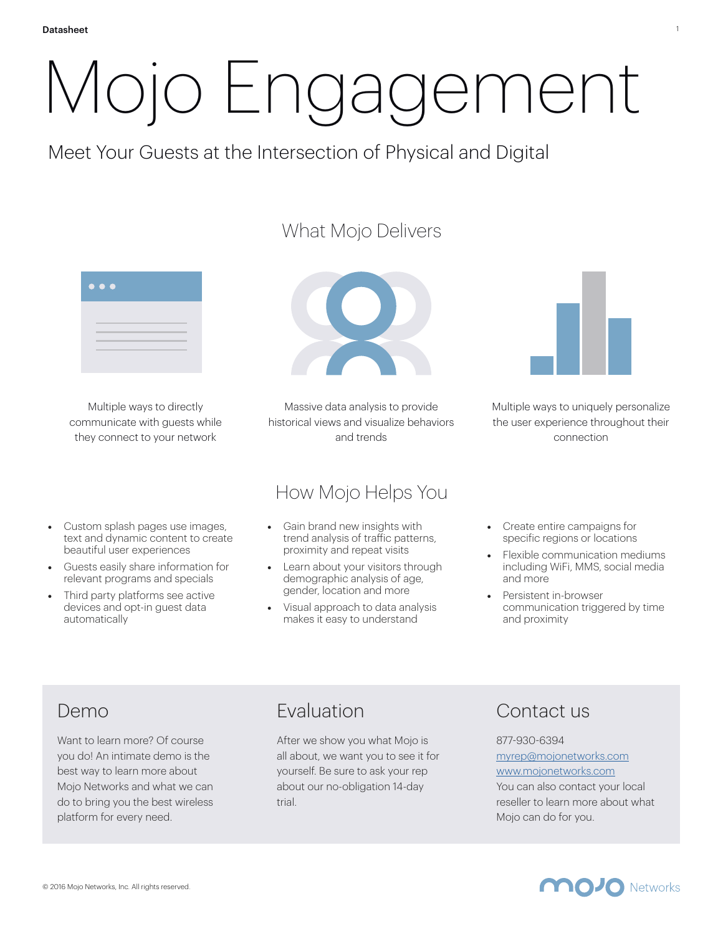# Mojo Engagement

Meet Your Guests at the Intersection of Physical and Digital

## What Mojo Delivers



Multiple ways to directly communicate with guests while they connect to your network

- Custom splash pages use images, text and dynamic content to create beautiful user experiences
- Guests easily share information for relevant programs and specials
- Third party platforms see active devices and opt-in guest data automatically



Massive data analysis to provide historical views and visualize behaviors and trends

## How Mojo Helps You

- Gain brand new insights with trend analysis of traffic patterns, proximity and repeat visits
- Learn about your visitors through demographic analysis of age, gender, location and more
- Visual approach to data analysis makes it easy to understand



1

Multiple ways to uniquely personalize the user experience throughout their connection

- Create entire campaigns for specific regions or locations
- Flexible communication mediums including WiFi, MMS, social media and more
- Persistent in-browser communication triggered by time and proximity

# Demo

Want to learn more? Of course you do! An intimate demo is the best way to learn more about Mojo Networks and what we can do to bring you the best wireless platform for every need.

# Evaluation

After we show you what Mojo is all about, we want you to see it for yourself. Be sure to ask your rep about our no-obligation 14-day trial.

## Contact us

#### 877-930-6394 [myrep@mojonetworks.com](mailto:myrep@mojonetworks.com)

[www.mojonetworks.com](http://www.mojonetworks.com)

You can also contact your local reseller to learn more about what Mojo can do for you.